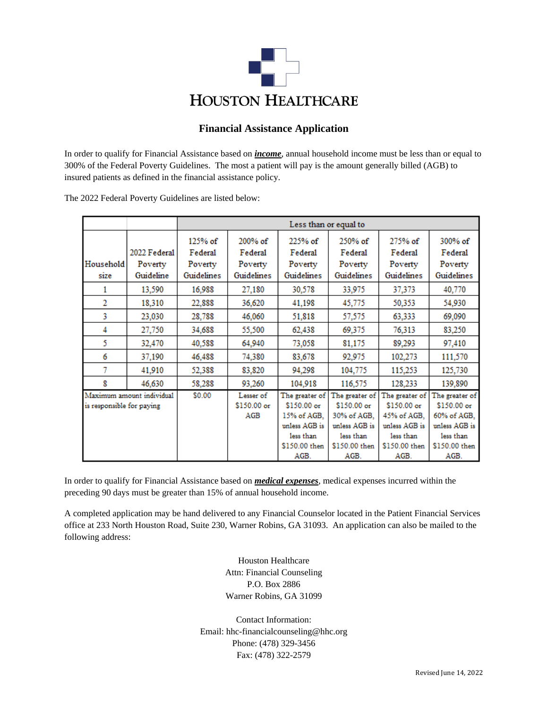

# **Financial Assistance Application**

In order to qualify for Financial Assistance based on *income*, annual household income must be less than or equal to 300% of the Federal Poverty Guidelines. The most a patient will pay is the amount generally billed (AGB) to insured patients as defined in the financial assistance policy.

|                                                        |                         | Less than or equal to         |                                 |                                                                                                     |                                                                                                     |                                                                                                     |                                                                                                     |  |
|--------------------------------------------------------|-------------------------|-------------------------------|---------------------------------|-----------------------------------------------------------------------------------------------------|-----------------------------------------------------------------------------------------------------|-----------------------------------------------------------------------------------------------------|-----------------------------------------------------------------------------------------------------|--|
| Household                                              | 2022 Federal<br>Poverty | 125% of<br>Federal<br>Poverty | 200% of<br>Federal<br>Poverty   | 225% of<br>Federal<br>Poverty                                                                       | 250% of<br>Federal<br>Poverty                                                                       | 275% of<br>Federal<br>Poverty                                                                       | 300% of<br>Federal<br>Poverty                                                                       |  |
| size                                                   | Guideline               | Guidelines                    | Guidelines                      | Guidelines                                                                                          | Guidelines                                                                                          | Guidelines                                                                                          | Guidelines                                                                                          |  |
| 1                                                      | 13,590                  | 16,988                        | 27,180                          | 30,578                                                                                              | 33,975                                                                                              | 37,373                                                                                              | 40,770                                                                                              |  |
| $\overline{2}$                                         | 18,310                  | 22,888                        | 36,620                          | 41,198                                                                                              | 45,775                                                                                              | 50,353                                                                                              | 54,930                                                                                              |  |
| 3                                                      | 23,030                  | 28,788                        | 46,060                          | 51,818                                                                                              | 57,575                                                                                              | 63,333                                                                                              | 69,090                                                                                              |  |
| 4                                                      | 27,750                  | 34,688                        | 55,500                          | 62,438                                                                                              | 69,375                                                                                              | 76,313                                                                                              | 83,250                                                                                              |  |
| 5                                                      | 32,470                  | 40,588                        | 64,940                          | 73,058                                                                                              | 81,175                                                                                              | 89,293                                                                                              | 97,410                                                                                              |  |
| 6                                                      | 37,190                  | 46,488                        | 74,380                          | 83,678                                                                                              | 92,975                                                                                              | 102,273                                                                                             | 111,570                                                                                             |  |
| 7                                                      | 41,910                  | 52,388                        | 83,820                          | 94,298                                                                                              | 104,775                                                                                             | 115,253                                                                                             | 125,730                                                                                             |  |
| 8                                                      | 46.630                  | 58,288                        | 93,260                          | 104,918                                                                                             | 116,575                                                                                             | 128,233                                                                                             | 139,890                                                                                             |  |
| Maximum amount individual<br>is responsible for paying |                         | \$0.00                        | Lesser of<br>\$150.00 or<br>AGB | The greater of<br>\$150.00 or<br>15% of AGB.<br>unless AGB is<br>less than<br>\$150.00 then<br>AGB. | The greater of<br>\$150.00 or<br>30% of AGB.<br>unless AGB is<br>less than<br>\$150.00 then<br>AGB. | The greater of<br>\$150.00 or<br>45% of AGB.<br>unless AGB is<br>less than<br>\$150.00 then<br>AGB. | The greater of<br>\$150.00 or<br>60% of AGB.<br>unless AGB is<br>less than<br>\$150.00 then<br>AGB. |  |

The 2022 Federal Poverty Guidelines are listed below:

In order to qualify for Financial Assistance based on *medical expenses*, medical expenses incurred within the preceding 90 days must be greater than 15% of annual household income.

A completed application may be hand delivered to any Financial Counselor located in the Patient Financial Services office at 233 North Houston Road, Suite 230, Warner Robins, GA 31093. An application can also be mailed to the following address:

> Houston Healthcare Attn: Financial Counseling P.O. Box 2886 Warner Robins, GA 31099

Contact Information: Email: hhc-financialcounseling@hhc.org Phone: (478) 329-3456 Fax: (478) 322-2579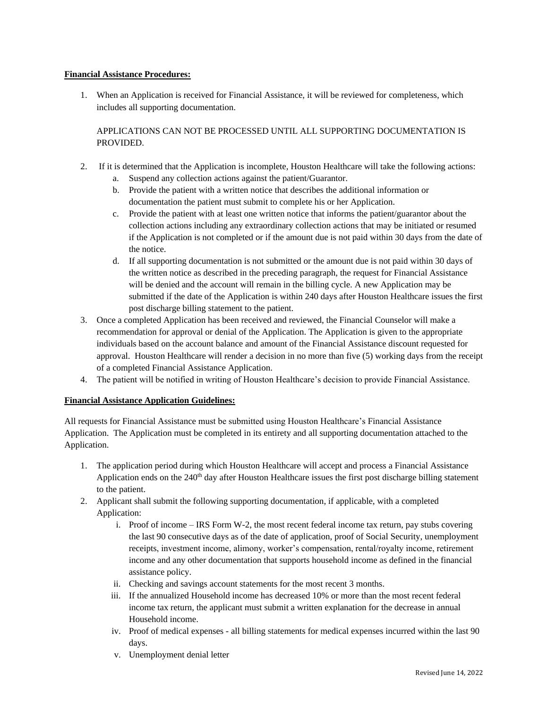## **Financial Assistance Procedures:**

1. When an Application is received for Financial Assistance, it will be reviewed for completeness, which includes all supporting documentation.

APPLICATIONS CAN NOT BE PROCESSED UNTIL ALL SUPPORTING DOCUMENTATION IS PROVIDED.

- 2. If it is determined that the Application is incomplete, Houston Healthcare will take the following actions:
	- a. Suspend any collection actions against the patient/Guarantor.
	- b. Provide the patient with a written notice that describes the additional information or documentation the patient must submit to complete his or her Application.
	- c. Provide the patient with at least one written notice that informs the patient/guarantor about the collection actions including any extraordinary collection actions that may be initiated or resumed if the Application is not completed or if the amount due is not paid within 30 days from the date of the notice.
	- d. If all supporting documentation is not submitted or the amount due is not paid within 30 days of the written notice as described in the preceding paragraph, the request for Financial Assistance will be denied and the account will remain in the billing cycle. A new Application may be submitted if the date of the Application is within 240 days after Houston Healthcare issues the first post discharge billing statement to the patient.
- 3. Once a completed Application has been received and reviewed, the Financial Counselor will make a recommendation for approval or denial of the Application. The Application is given to the appropriate individuals based on the account balance and amount of the Financial Assistance discount requested for approval. Houston Healthcare will render a decision in no more than five (5) working days from the receipt of a completed Financial Assistance Application.
- 4. The patient will be notified in writing of Houston Healthcare's decision to provide Financial Assistance.

### **Financial Assistance Application Guidelines:**

All requests for Financial Assistance must be submitted using Houston Healthcare's Financial Assistance Application. The Application must be completed in its entirety and all supporting documentation attached to the Application.

- 1. The application period during which Houston Healthcare will accept and process a Financial Assistance Application ends on the  $240<sup>th</sup>$  day after Houston Healthcare issues the first post discharge billing statement to the patient.
- 2. Applicant shall submit the following supporting documentation, if applicable, with a completed Application:
	- i. Proof of income IRS Form W-2, the most recent federal income tax return, pay stubs covering the last 90 consecutive days as of the date of application, proof of Social Security, unemployment receipts, investment income, alimony, worker's compensation, rental/royalty income, retirement income and any other documentation that supports household income as defined in the financial assistance policy.
	- ii. Checking and savings account statements for the most recent 3 months.
	- iii. If the annualized Household income has decreased 10% or more than the most recent federal income tax return, the applicant must submit a written explanation for the decrease in annual Household income.
	- iv. Proof of medical expenses all billing statements for medical expenses incurred within the last 90 days.
	- v. Unemployment denial letter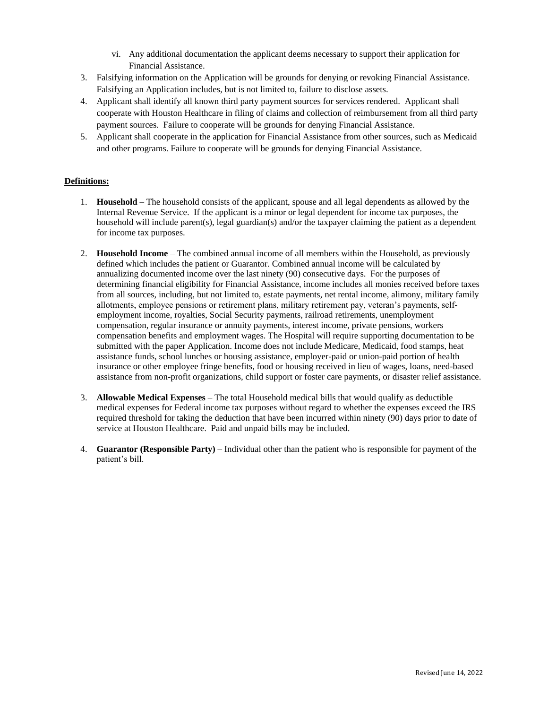- vi. Any additional documentation the applicant deems necessary to support their application for Financial Assistance.
- 3. Falsifying information on the Application will be grounds for denying or revoking Financial Assistance. Falsifying an Application includes, but is not limited to, failure to disclose assets.
- 4. Applicant shall identify all known third party payment sources for services rendered. Applicant shall cooperate with Houston Healthcare in filing of claims and collection of reimbursement from all third party payment sources. Failure to cooperate will be grounds for denying Financial Assistance.
- 5. Applicant shall cooperate in the application for Financial Assistance from other sources, such as Medicaid and other programs. Failure to cooperate will be grounds for denying Financial Assistance.

## **Definitions:**

- 1. **Household**  The household consists of the applicant, spouse and all legal dependents as allowed by the Internal Revenue Service. If the applicant is a minor or legal dependent for income tax purposes, the household will include parent(s), legal guardian(s) and/or the taxpayer claiming the patient as a dependent for income tax purposes.
- 2. **Household Income** The combined annual income of all members within the Household, as previously defined which includes the patient or Guarantor. Combined annual income will be calculated by annualizing documented income over the last ninety (90) consecutive days. For the purposes of determining financial eligibility for Financial Assistance, income includes all monies received before taxes from all sources, including, but not limited to, estate payments, net rental income, alimony, military family allotments, employee pensions or retirement plans, military retirement pay, veteran's payments, selfemployment income, royalties, Social Security payments, railroad retirements, unemployment compensation, regular insurance or annuity payments, interest income, private pensions, workers compensation benefits and employment wages. The Hospital will require supporting documentation to be submitted with the paper Application. Income does not include Medicare, Medicaid, food stamps, heat assistance funds, school lunches or housing assistance, employer-paid or union-paid portion of health insurance or other employee fringe benefits, food or housing received in lieu of wages, loans, need-based assistance from non-profit organizations, child support or foster care payments, or disaster relief assistance.
- 3. **Allowable Medical Expenses**  The total Household medical bills that would qualify as deductible medical expenses for Federal income tax purposes without regard to whether the expenses exceed the IRS required threshold for taking the deduction that have been incurred within ninety (90) days prior to date of service at Houston Healthcare. Paid and unpaid bills may be included.
- 4. **Guarantor (Responsible Party)** Individual other than the patient who is responsible for payment of the patient's bill.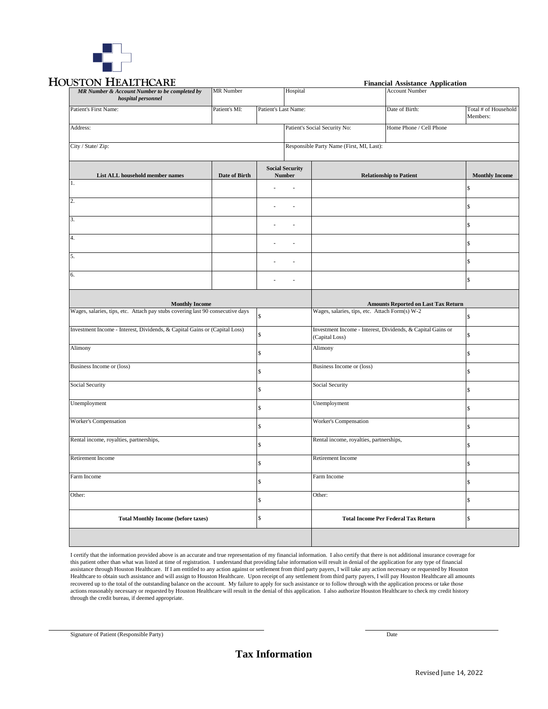

# **HOUSTON HEALTHCARE**

| USTON HEALTHCARE                                                                                        |                  |                          |                                         | <b>Financial Assistance Application</b>                                                      |                                |                                  |  |
|---------------------------------------------------------------------------------------------------------|------------------|--------------------------|-----------------------------------------|----------------------------------------------------------------------------------------------|--------------------------------|----------------------------------|--|
| MR Number & Account Number to be completed by<br>hospital personnel                                     | <b>MR</b> Number |                          | Hospital                                |                                                                                              | <b>Account Number</b>          |                                  |  |
| Patient's First Name:                                                                                   | Patient's MI:    | Patient's Last Name:     |                                         |                                                                                              | Date of Birth:                 | Total # of Household<br>Members: |  |
| Address:                                                                                                |                  |                          | Patient's Social Security No:           |                                                                                              | Home Phone / Cell Phone        |                                  |  |
| City / State/ Zip:                                                                                      |                  |                          |                                         | Responsible Party Name (First, MI, Last):                                                    |                                |                                  |  |
| List ALL household member names                                                                         | Date of Birth    |                          | <b>Social Security</b><br><b>Number</b> |                                                                                              | <b>Relationship to Patient</b> | <b>Monthly Income</b>            |  |
| $1.$ $\,$                                                                                               |                  |                          |                                         |                                                                                              |                                | \$                               |  |
| 2.                                                                                                      |                  | $\overline{\phantom{a}}$ | J.                                      |                                                                                              |                                | \$                               |  |
| 3.                                                                                                      |                  | $\sim$                   | $\overline{a}$                          |                                                                                              |                                | \$                               |  |
| 4.                                                                                                      |                  | $\ddot{\phantom{a}}$     | J.                                      |                                                                                              |                                | \$                               |  |
| 5.                                                                                                      |                  |                          | $\blacksquare$                          |                                                                                              |                                | \$                               |  |
| 6.                                                                                                      |                  | $\overline{a}$           | $\overline{a}$                          |                                                                                              |                                | \$                               |  |
|                                                                                                         |                  |                          |                                         |                                                                                              |                                |                                  |  |
| <b>Monthly Income</b><br>Wages, salaries, tips, etc. Attach pay stubs covering last 90 consecutive days |                  |                          |                                         | <b>Amounts Reported on Last Tax Return</b><br>Wages, salaries, tips, etc. Attach Form(s) W-2 |                                | \$                               |  |
| Investment Income - Interest, Dividends, & Capital Gains or (Capital Loss)                              |                  | ፍ                        |                                         | Investment Income - Interest, Dividends, & Capital Gains or<br>(Capital Loss)                |                                | ፍ                                |  |
| Alimony                                                                                                 |                  | \$                       |                                         | Alimony                                                                                      |                                | \$                               |  |
| Business Income or (loss)                                                                               |                  |                          |                                         | Business Income or (loss)                                                                    |                                | \$                               |  |
| Social Security                                                                                         |                  | \$                       |                                         | Social Security                                                                              |                                | \$                               |  |
| Unemployment                                                                                            |                  | \$                       |                                         | Unemployment                                                                                 |                                | \$                               |  |
| Worker's Compensation                                                                                   |                  |                          | Worker's Compensation                   |                                                                                              |                                | \$                               |  |
| Rental income, royalties, partnerships,                                                                 |                  |                          |                                         | Rental income, royalties, partnerships,                                                      |                                | \$                               |  |
| Retirement Income                                                                                       |                  |                          |                                         | <b>Retirement Income</b>                                                                     |                                | \$                               |  |
| Farm Income                                                                                             |                  | ፍ                        |                                         | Farm Income                                                                                  |                                | \$                               |  |
| Other:                                                                                                  |                  | \$                       |                                         | Other:                                                                                       |                                | \$                               |  |
| <b>Total Monthly Income (before taxes)</b>                                                              |                  |                          |                                         | <b>Total Income Per Federal Tax Return</b>                                                   |                                | \$                               |  |
|                                                                                                         |                  |                          |                                         |                                                                                              |                                |                                  |  |

I certify that the information provided above is an accurate and true representation of my financial information. I also certify that there is not additional insurance coverage for this patient other than what was listed at time of registration. I understand that providing false information will result in denial of the application for any type of financial assistance through Houston Healthcare. If I am entitled to any action against or settlement from third party payers, I will take any action necessary or requested by Houston Healthcare to obtain such assistance and will assign to Houston Healthcare. Upon receipt of any settlement from third party payers, I will pay Houston Healthcare all amounts recovered up to the total of the outstanding balance on the account. My failure to apply for such assistance or to follow through with the application process or take those actions reasonably necessary or requested by Houston Healthcare will result in the denial of this application. I also authorize Houston Healthcare to check my credit history through the credit bureau, if deemed appropriate.